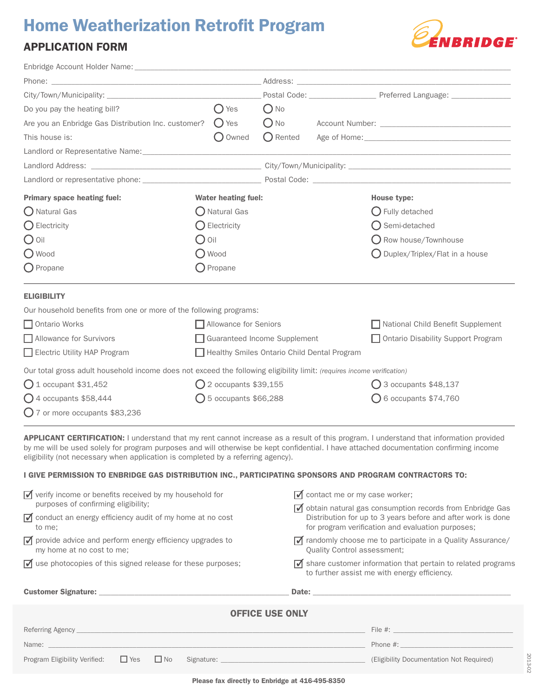# **Home Weatherization Retrofit Program**

# APPLICATION FORM



2013-02

2013-02

| Enbridge Account Holder Name: Name and Account Holder Name and Account Holder Name and Account of the Account of the Account of the Account of the Account of the Account of the Account of the Account of the Account of the |                                             |            |                                |                                                      |
|-------------------------------------------------------------------------------------------------------------------------------------------------------------------------------------------------------------------------------|---------------------------------------------|------------|--------------------------------|------------------------------------------------------|
|                                                                                                                                                                                                                               |                                             |            |                                |                                                      |
| City/Town/Municipality: City/Town/Municipality:                                                                                                                                                                               |                                             |            |                                | Postal Code: Preferred Language: Preferred Language: |
| Do you pay the heating bill?                                                                                                                                                                                                  | $()$ Yes                                    | $()$ No    |                                |                                                      |
| Are you an Enbridge Gas Distribution Inc. customer?                                                                                                                                                                           | $()$ Yes                                    | $O$ No     |                                |                                                      |
| This house is:                                                                                                                                                                                                                | Owned                                       | ( ) Rented |                                |                                                      |
|                                                                                                                                                                                                                               |                                             |            |                                |                                                      |
|                                                                                                                                                                                                                               |                                             |            |                                |                                                      |
|                                                                                                                                                                                                                               |                                             |            |                                |                                                      |
| <b>Primary space heating fuel:</b>                                                                                                                                                                                            | <b>Water heating fuel:</b>                  |            |                                | House type:                                          |
| O Natural Gas                                                                                                                                                                                                                 | $\bigcirc$ Natural Gas                      |            |                                | $\bigcirc$ Fully detached                            |
| $\bigcirc$ Electricity                                                                                                                                                                                                        | $\bigcirc$ Electricity                      |            |                                | $\bigcirc$ Semi-detached                             |
| $\bigcirc$ Oil<br>$\bigcirc$ Oil                                                                                                                                                                                              |                                             |            | $\bigcirc$ Row house/Townhouse |                                                      |
| O Wood                                                                                                                                                                                                                        | O Wood                                      |            |                                | $\bigcirc$ Duplex/Triplex/Flat in a house            |
| $\bigcirc$ Propane                                                                                                                                                                                                            | $\bigcirc$ Propane                          |            |                                |                                                      |
| <b>ELIGIBILITY</b>                                                                                                                                                                                                            |                                             |            |                                |                                                      |
| Our household benefits from one or more of the following programs:                                                                                                                                                            |                                             |            |                                |                                                      |
| □ Ontario Works                                                                                                                                                                                                               | Allowance for Seniors                       |            |                                | National Child Benefit Supplement                    |
| Allowance for Survivors                                                                                                                                                                                                       | Guaranteed Income Supplement                |            |                                | Ontario Disability Support Program                   |
| Electric Utility HAP Program                                                                                                                                                                                                  | Healthy Smiles Ontario Child Dental Program |            |                                |                                                      |
| Our total gross adult household income does not exceed the following eligibility limit: (requires income verification)                                                                                                        |                                             |            |                                |                                                      |
| $O1$ occupant \$31,452                                                                                                                                                                                                        | $Q$ 2 occupants \$39,155                    |            |                                | $\bigcirc$ 3 occupants \$48,137                      |
| $\bigcirc$ 4 occupants \$58,444                                                                                                                                                                                               | $\bigcirc$ 5 occupants \$66,288             |            |                                | $\bigcirc$ 6 occupants \$74,760                      |
| $O$ 7 or more occupants \$83,236                                                                                                                                                                                              |                                             |            |                                |                                                      |

APPLICANT CERTIFICATION: I understand that my rent cannot increase as a result of this program. I understand that information provided by me will be used solely for program purposes and will otherwise be kept confidential. I have attached documentation confirming income eligibility (not necessary when application is completed by a referring agency).

# I GIVE PERMISSION TO ENBRIDGE GAS DISTRIBUTION INC., PARTICIPATING SPONSORS AND PROGRAM CONTRACTORS TO:

| $\sqrt{\ }$ verify income or benefits received by my household for<br>purposes of confirming eligibility;                                                                                                                     | $\sqrt{\phantom{a}}$ contact me or my case worker;                                                                                                                                                                             |  |  |  |
|-------------------------------------------------------------------------------------------------------------------------------------------------------------------------------------------------------------------------------|--------------------------------------------------------------------------------------------------------------------------------------------------------------------------------------------------------------------------------|--|--|--|
| $\sqrt{\phantom{a}}$ conduct an energy efficiency audit of my home at no cost<br>to me;                                                                                                                                       | $\sqrt{\phantom{a}}$ obtain natural gas consumption records from Enbridge Gas<br>Distribution for up to 3 years before and after work is done<br>for program verification and evaluation purposes;                             |  |  |  |
| $\sqrt{\phantom{a}}$ provide advice and perform energy efficiency upgrades to<br>my home at no cost to me;                                                                                                                    | $\sqrt{\phantom{a}}$ randomly choose me to participate in a Quality Assurance/<br>Quality Control assessment;                                                                                                                  |  |  |  |
| $\triangledown$ use photocopies of this signed release for these purposes;                                                                                                                                                    | $\sqrt{\phantom{a}}$ share customer information that pertain to related programs<br>to further assist me with energy efficiency.                                                                                               |  |  |  |
| <b>Customer Signature:</b> Annual Customer System of the Customer Signature:                                                                                                                                                  | Date: the contract of the contract of the contract of the contract of the contract of the contract of the contract of the contract of the contract of the contract of the contract of the contract of the contract of the cont |  |  |  |
| <b>OFFICE USE ONLY</b>                                                                                                                                                                                                        |                                                                                                                                                                                                                                |  |  |  |
| Referring Agency                                                                                                                                                                                                              | File $\#$ : $\qquad \qquad$                                                                                                                                                                                                    |  |  |  |
| Name: and the contract of the contract of the contract of the contract of the contract of the contract of the contract of the contract of the contract of the contract of the contract of the contract of the contract of the | Phone #:                                                                                                                                                                                                                       |  |  |  |
| $\Box$ Yes<br>$\Box$ No<br>Program Eligibility Verified:                                                                                                                                                                      | (Eligibility Documentation Not Required)                                                                                                                                                                                       |  |  |  |